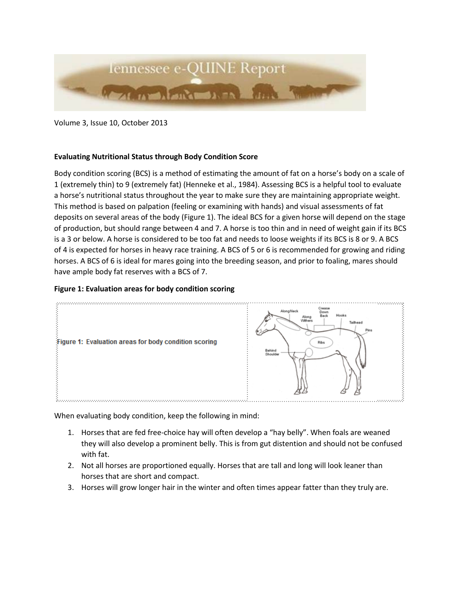

Volume 3, Issue 10, October 2013

## **Evaluating Nutritional Status through Body Condition Score**

Body condition scoring (BCS) is a method of estimating the amount of fat on a horse's body on a scale of 1 (extremely thin) to 9 (extremely fat) (Henneke et al., 1984). Assessing BCS is a helpful tool to evaluate a horse's nutritional status throughout the year to make sure they are maintaining appropriate weight. This method is based on palpation (feeling or examining with hands) and visual assessments of fat deposits on several areas of the body (Figure 1). The ideal BCS for a given horse will depend on the stage of production, but should range between 4 and 7. A horse is too thin and in need of weight gain if its BCS is a 3 or below. A horse is considered to be too fat and needs to loose weights if its BCS is 8 or 9. A BCS of 4 is expected for horses in heavy race training. A BCS of 5 or 6 is recommended for growing and riding horses. A BCS of 6 is ideal for mares going into the breeding season, and prior to foaling, mares should have ample body fat reserves with a BCS of 7.

## **Figure 1: Evaluation areas for body condition scoring**



When evaluating body condition, keep the following in mind:

- 1. Horses that are fed free-choice hay will often develop a "hay belly". When foals are weaned they will also develop a prominent belly. This is from gut distention and should not be confused with fat.
- 2. Not all horses are proportioned equally. Horses that are tall and long will look leaner than horses that are short and compact.
- 3. Horses will grow longer hair in the winter and often times appear fatter than they truly are.